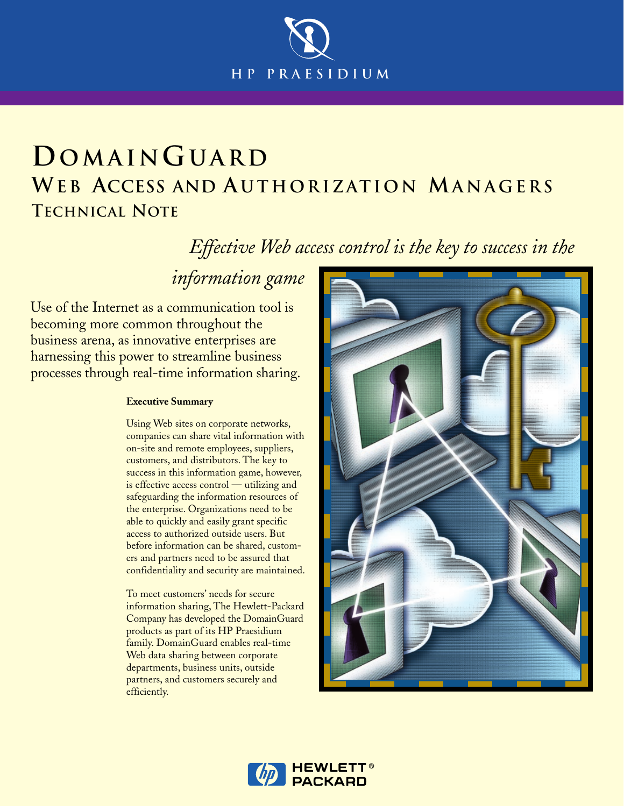

# **DOMAINGUARD WE B ACCESS AND A UTHORIZATION MANAGERS TECHNICAL NOTE**

*␣␣␣␣Effective Web access control is the key to success in the*

*information game*

Use of the Internet as a communication tool is becoming more common throughout the business arena, as innovative enterprises are harnessing this power to streamline business processes through real-time information sharing.

#### **Executive Summary**

Using Web sites on corporate networks, companies can share vital information with on-site and remote employees, suppliers, customers, and distributors. The key to success in this information game, however, is effective access control — utilizing and safeguarding the information resources of the enterprise. Organizations need to be able to quickly and easily grant specific access to authorized outside users. But before information can be shared, customers and partners need to be assured that confidentiality and security are maintained.

To meet customers' needs for secure information sharing, The Hewlett-Packard Company has developed the DomainGuard products as part of its HP Praesidium family. DomainGuard enables real-time Web data sharing between corporate departments, business units, outside partners, and customers securely and efficiently.



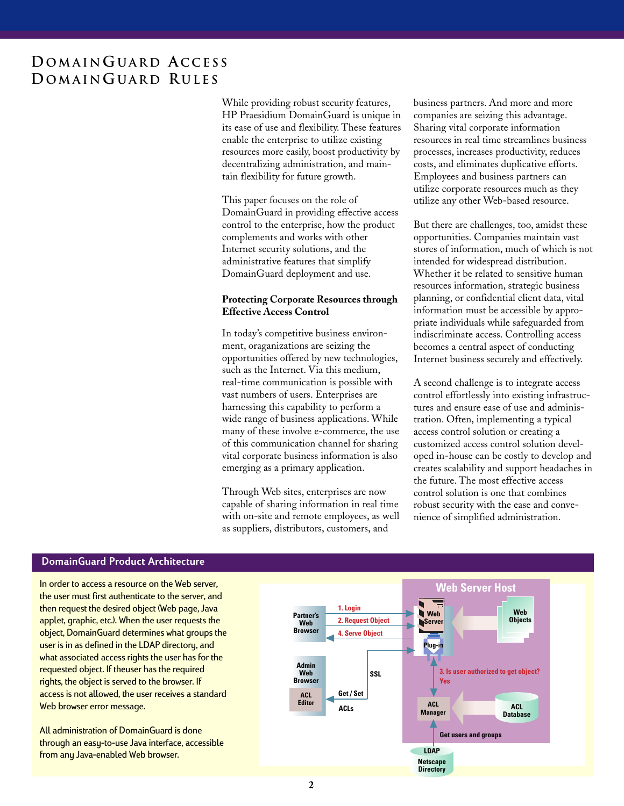While providing robust security features, HP Praesidium DomainGuard is unique in its ease of use and flexibility. These features enable the enterprise to utilize existing resources more easily, boost productivity by decentralizing administration, and maintain flexibility for future growth.

This paper focuses on the role of DomainGuard in providing effective access control to the enterprise, how the product complements and works with other Internet security solutions, and the administrative features that simplify DomainGuard deployment and use.

#### **Protecting Corporate Resources through Effective Access Control**

In today's competitive business environment, oraganizations are seizing the opportunities offered by new technologies, such as the Internet. Via this medium, real-time communication is possible with vast numbers of users. Enterprises are harnessing this capability to perform a wide range of business applications. While many of these involve e-commerce, the use of this communication channel for sharing vital corporate business information is also emerging as a primary application.

Through Web sites, enterprises are now capable of sharing information in real time with on-site and remote employees, as well as suppliers, distributors, customers, and

business partners. And more and more companies are seizing this advantage. Sharing vital corporate information resources in real time streamlines business processes, increases productivity, reduces costs, and eliminates duplicative efforts. Employees and business partners can utilize corporate resources much as they utilize any other Web-based resource.

But there are challenges, too, amidst these opportunities. Companies maintain vast stores of information, much of which is not intended for widespread distribution. Whether it be related to sensitive human resources information, strategic business planning, or confidential client data, vital information must be accessible by appropriate individuals while safeguarded from indiscriminate access. Controlling access becomes a central aspect of conducting Internet business securely and effectively.

A second challenge is to integrate access control effortlessly into existing infrastructures and ensure ease of use and administration. Often, implementing a typical access control solution or creating a customized access control solution developed in-house can be costly to develop and creates scalability and support headaches in the future. The most effective access control solution is one that combines robust security with the ease and convenience of simplified administration.

## **DomainGuard Product Architecture**

In order to access a resource on the Web server, the user must first authenticate to the server, and then request the desired object (Web page, Java applet, graphic, etc.). When the user requests the object, DomainGuard determines what groups the user is in as defined in the LDAP directory, and what associated access rights the user has for the requested object. If theuser has the required rights, the object is served to the browser. If access is not allowed, the user receives a standard Web browser error message.

All administration of DomainGuard is done through an easy-to-use Java interface, accessible from any Java-enabled Web browser.

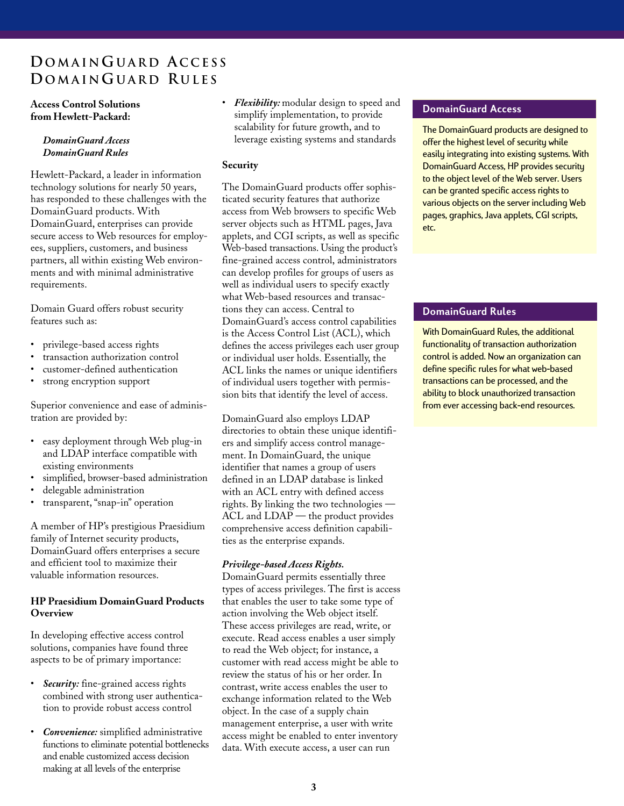### **Access Control Solutions from Hewlett-Packard:**

### *DomainGuard Access DomainGuard Rules*

Hewlett-Packard, a leader in information technology solutions for nearly 50 years, has responded to these challenges with the DomainGuard products. With DomainGuard, enterprises can provide secure access to Web resources for employees, suppliers, customers, and business partners, all within existing Web environments and with minimal administrative requirements.

Domain Guard offers robust security features such as:

- privilege-based access rights
- transaction authorization control
- customer-defined authentication
- strong encryption support

Superior convenience and ease of administration are provided by:

- easy deployment through Web plug-in and LDAP interface compatible with existing environments
- simplified, browser-based administration
- delegable administration
- transparent, "snap-in" operation

A member of HP's prestigious Praesidium family of Internet security products, DomainGuard offers enterprises a secure and efficient tool to maximize their valuable information resources.

## **HP Praesidium DomainGuard Products Overview**

In developing effective access control solutions, companies have found three aspects to be of primary importance:

- *Security:* fine-grained access rights combined with strong user authentication to provide robust access control
- *Convenience:* simplified administrative functions to eliminate potential bottlenecks and enable customized access decision making at all levels of the enterprise

• *Flexibility:* modular design to speed and simplify implementation, to provide scalability for future growth, and to leverage existing systems and standards

# **Security**

The DomainGuard products offer sophisticated security features that authorize access from Web browsers to specific Web server objects such as HTML pages, Java applets, and CGI scripts, as well as specific Web-based transactions. Using the product's fine-grained access control, administrators can develop profiles for groups of users as well as individual users to specify exactly what Web-based resources and transactions they can access. Central to DomainGuard's access control capabilities is the Access Control List (ACL), which defines the access privileges each user group or individual user holds. Essentially, the ACL links the names or unique identifiers of individual users together with permission bits that identify the level of access.

DomainGuard also employs LDAP directories to obtain these unique identifiers and simplify access control management. In DomainGuard, the unique identifier that names a group of users defined in an LDAP database is linked with an ACL entry with defined access rights. By linking the two technologies — ACL and LDAP — the product provides comprehensive access definition capabilities as the enterprise expands.

# *Privilege-based Access Rights.*

DomainGuard permits essentially three types of access privileges. The first is access that enables the user to take some type of action involving the Web object itself. These access privileges are read, write, or execute. Read access enables a user simply to read the Web object; for instance, a customer with read access might be able to review the status of his or her order. In contrast, write access enables the user to exchange information related to the Web object. In the case of a supply chain management enterprise, a user with write access might be enabled to enter inventory data. With execute access, a user can run

# **DomainGuard Access**

The DomainGuard products are designed to offer the highest level of security while easily integrating into existing systems. With DomainGuard Access, HP provides security to the object level of the Web server. Users can be granted specific access rights to various objects on the server including Web pages, graphics, Java applets, CGI scripts, etc.

# **DomainGuard Rules**

With DomainGuard Rules, the additional functionality of transaction authorization control is added. Now an organization can define specific rules for what web-based transactions can be processed, and the ability to block unauthorized transaction from ever accessing back-end resources.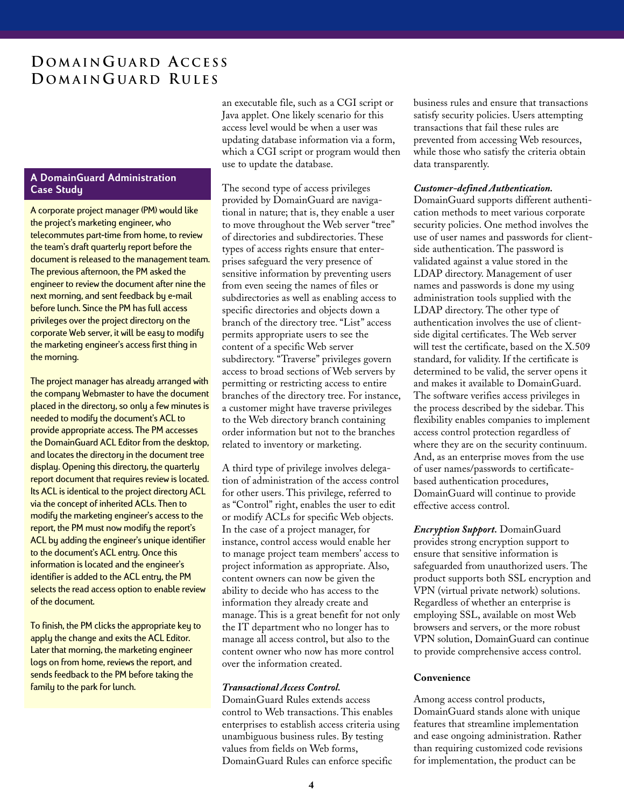#### **A DomainGuard Administration Case Study**

A corporate project manager (PM) would like the project's marketing engineer, who telecommutes part-time from home, to review the team's draft quarterly report before the document is released to the management team. The previous afternoon, the PM asked the engineer to review the document after nine the next morning, and sent feedback by e-mail before lunch. Since the PM has full access privileges over the project directory on the corporate Web server, it will be easy to modify the marketing engineer's access first thing in the morning.

The project manager has already arranged with the company Webmaster to have the document placed in the directory, so only a few minutes is needed to modify the document's ACL to provide appropriate access. The PM accesses the DomainGuard ACL Editor from the desktop, and locates the directory in the document tree display. Opening this directory, the quarterly report document that requires review is located. Its ACL is identical to the project directory ACL via the concept of inherited ACLs. Then to modify the marketing engineer's access to the report, the PM must now modify the report's ACL by adding the engineer's unique identifier to the document's ACL entry. Once this information is located and the engineer's identifier is added to the ACL entry, the PM selects the read access option to enable review of the document.

To finish, the PM clicks the appropriate key to apply the change and exits the ACL Editor. Later that morning, the marketing engineer logs on from home, reviews the report, and sends feedback to the PM before taking the family to the park for lunch.

an executable file, such as a CGI script or Java applet. One likely scenario for this access level would be when a user was updating database information via a form, which a CGI script or program would then use to update the database.

The second type of access privileges provided by DomainGuard are navigational in nature; that is, they enable a user to move throughout the Web server "tree" of directories and subdirectories. These types of access rights ensure that enterprises safeguard the very presence of sensitive information by preventing users from even seeing the names of files or subdirectories as well as enabling access to specific directories and objects down a branch of the directory tree. "List" access permits appropriate users to see the content of a specific Web server subdirectory. "Traverse" privileges govern access to broad sections of Web servers by permitting or restricting access to entire branches of the directory tree. For instance, a customer might have traverse privileges to the Web directory branch containing order information but not to the branches related to inventory or marketing.

A third type of privilege involves delegation of administration of the access control for other users. This privilege, referred to as "Control" right, enables the user to edit or modify ACLs for specific Web objects. In the case of a project manager, for instance, control access would enable her to manage project team members' access to project information as appropriate. Also, content owners can now be given the ability to decide who has access to the information they already create and manage. This is a great benefit for not only the IT department who no longer has to manage all access control, but also to the content owner who now has more control over the information created.

### *Transactional Access Control.*

DomainGuard Rules extends access control to Web transactions. This enables enterprises to establish access criteria using unambiguous business rules. By testing values from fields on Web forms, DomainGuard Rules can enforce specific

business rules and ensure that transactions satisfy security policies. Users attempting transactions that fail these rules are prevented from accessing Web resources, while those who satisfy the criteria obtain data transparently.

#### *Customer-defined Authentication.*

DomainGuard supports different authentication methods to meet various corporate security policies. One method involves the use of user names and passwords for clientside authentication. The password is validated against a value stored in the LDAP directory. Management of user names and passwords is done my using administration tools supplied with the LDAP directory. The other type of authentication involves the use of clientside digital certificates. The Web server will test the certificate, based on the X.509 standard, for validity. If the certificate is determined to be valid, the server opens it and makes it available to DomainGuard. The software verifies access privileges in the process described by the sidebar. This flexibility enables companies to implement access control protection regardless of where they are on the security continuum. And, as an enterprise moves from the use of user names/passwords to certificatebased authentication procedures, DomainGuard will continue to provide effective access control.

*Encryption Support.* DomainGuard provides strong encryption support to ensure that sensitive information is safeguarded from unauthorized users. The product supports both SSL encryption and VPN (virtual private network) solutions. Regardless of whether an enterprise is employing SSL, available on most Web browsers and servers, or the more robust VPN solution, DomainGuard can continue to provide comprehensive access control.

#### **Convenience**

Among access control products, DomainGuard stands alone with unique features that streamline implementation and ease ongoing administration. Rather than requiring customized code revisions for implementation, the product can be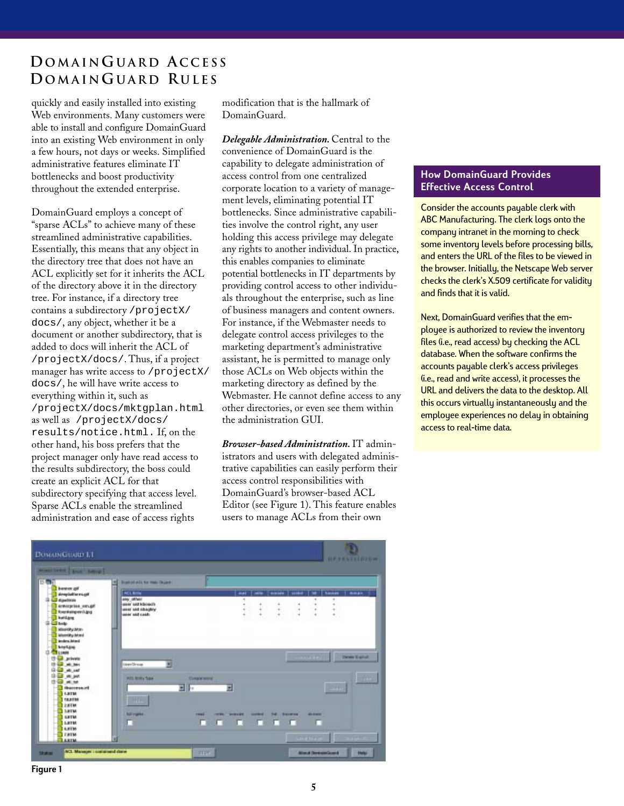quickly and easily installed into existing Web environments. Many customers were able to install and configure DomainGuard into an existing Web environment in only a few hours, not days or weeks. Simplified administrative features eliminate IT bottlenecks and boost productivity throughout the extended enterprise.

DomainGuard employs a concept of "sparse ACLs" to achieve many of these streamlined administrative capabilities. Essentially, this means that any object in the directory tree that does not have an ACL explicitly set for it inherits the ACL of the directory above it in the directory tree. For instance, if a directory tree contains a subdirectory /projectX/ docs/, any object, whether it be a document or another subdirectory, that is added to docs will inherit the ACL of /projectX/docs/. Thus, if a project manager has write access to /projectX/ docs/, he will have write access to everything within it, such as /projectX/docs/mktgplan.html as well as /projectX/docs/ results/notice.html. If, on the other hand, his boss prefers that the project manager only have read access to the results subdirectory, the boss could create an explicit ACL for that subdirectory specifying that access level. Sparse ACLs enable the streamlined administration and ease of access rights

modification that is the hallmark of DomainGuard.

*Delegable Administration.* Central to the convenience of DomainGuard is the capability to delegate administration of access control from one centralized corporate location to a variety of management levels, eliminating potential IT bottlenecks. Since administrative capabilities involve the control right, any user holding this access privilege may delegate any rights to another individual. In practice, this enables companies to eliminate potential bottlenecks in IT departments by providing control access to other individuals throughout the enterprise, such as line of business managers and content owners. For instance, if the Webmaster needs to delegate control access privileges to the marketing department's administrative assistant, he is permitted to manage only those ACLs on Web objects within the marketing directory as defined by the Webmaster. He cannot define access to any other directories, or even see them within the administration GUI.

*Browser-based Administration.* IT administrators and users with delegated administrative capabilities can easily perform their access control responsibilities with DomainGuard's browser-based ACL Editor (see Figure 1). This feature enables users to manage ACLs from their own

## **How DomainGuard Provides Effective Access Control**

Consider the accounts payable clerk with ABC Manufacturing. The clerk logs onto the company intranet in the morning to check some inventory levels before processing bills, and enters the URL of the files to be viewed in the browser. Initially, the Netscape Web server checks the clerk's X.509 certificate for validity and finds that it is valid.

Next, DomainGuard verifies that the employee is authorized to review the inventory files (i.e., read access) by checking the ACL database. When the software confirms the accounts payable clerk's access privileges (i.e., read and write access), it processes the URL and delivers the data to the desktop. All this occurs virtually instantaneously and the employee experiences no delay in obtaining access to real-time data.



**Figure 1**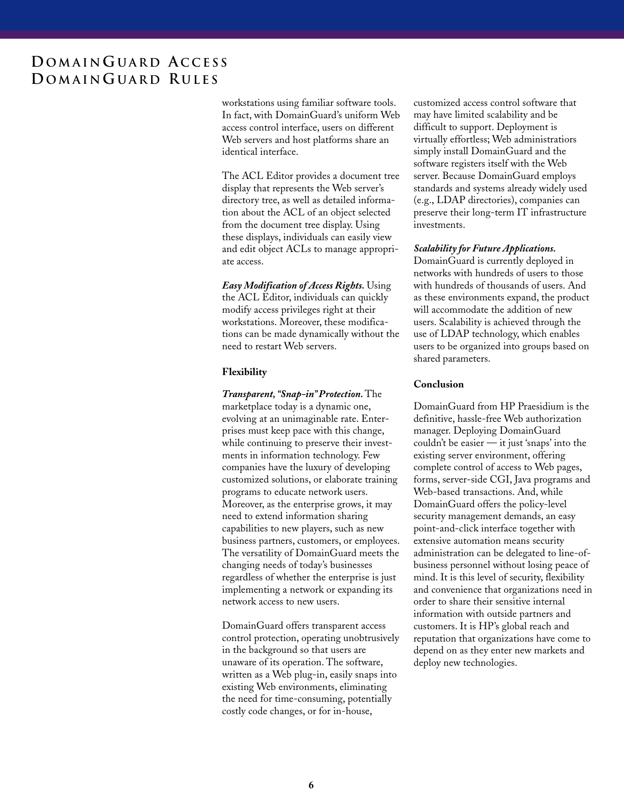workstations using familiar software tools. In fact, with DomainGuard's uniform Web access control interface, users on different Web servers and host platforms share an identical interface.

The ACL Editor provides a document tree display that represents the Web server's directory tree, as well as detailed information about the ACL of an object selected from the document tree display. Using these displays, individuals can easily view and edit object ACLs to manage appropriate access.

*Easy Modification of Access Rights.* Using the ACL Editor, individuals can quickly modify access privileges right at their workstations. Moreover, these modifications can be made dynamically without the need to restart Web servers.

#### **Flexibility**

*Transparent, "Snap-in" Protection.* The marketplace today is a dynamic one, evolving at an unimaginable rate. Enterprises must keep pace with this change, while continuing to preserve their investments in information technology. Few companies have the luxury of developing customized solutions, or elaborate training programs to educate network users. Moreover, as the enterprise grows, it may need to extend information sharing capabilities to new players, such as new business partners, customers, or employees. The versatility of DomainGuard meets the changing needs of today's businesses regardless of whether the enterprise is just implementing a network or expanding its network access to new users.

DomainGuard offers transparent access control protection, operating unobtrusively in the background so that users are unaware of its operation. The software, written as a Web plug-in, easily snaps into existing Web environments, eliminating the need for time-consuming, potentially costly code changes, or for in-house,

customized access control software that may have limited scalability and be difficult to support. Deployment is virtually effortless; Web administratiors simply install DomainGuard and the software registers itself with the Web server. Because DomainGuard employs standards and systems already widely used (e.g., LDAP directories), companies can preserve their long-term IT infrastructure investments.

#### *Scalability for Future Applications.*

DomainGuard is currently deployed in networks with hundreds of users to those with hundreds of thousands of users. And as these environments expand, the product will accommodate the addition of new users. Scalability is achieved through the use of LDAP technology, which enables users to be organized into groups based on shared parameters.

#### **Conclusion**

DomainGuard from HP Praesidium is the definitive, hassle-free Web authorization manager. Deploying DomainGuard couldn't be easier — it just 'snaps' into the existing server environment, offering complete control of access to Web pages, forms, server-side CGI, Java programs and Web-based transactions. And, while DomainGuard offers the policy-level security management demands, an easy point-and-click interface together with extensive automation means security administration can be delegated to line-ofbusiness personnel without losing peace of mind. It is this level of security, flexibility and convenience that organizations need in order to share their sensitive internal information with outside partners and customers. It is HP's global reach and reputation that organizations have come to depend on as they enter new markets and deploy new technologies.